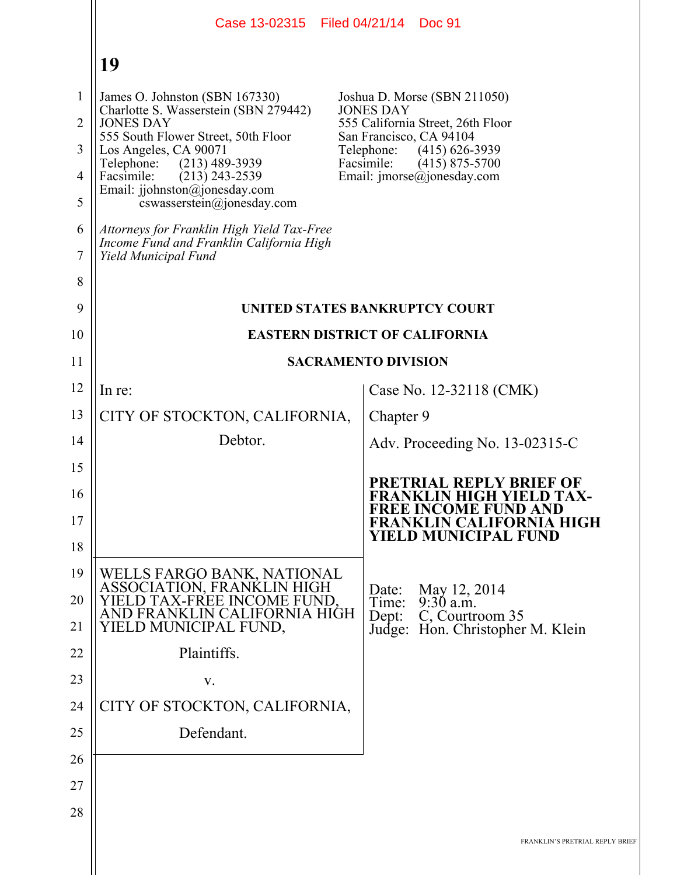|                                                                      | Case 13-02315   Filed 04/21/14   Doc 91                                                                                                                                                                                                                                                                                                                                                                          |                                                                                                                                                                                                                                      |  |  |
|----------------------------------------------------------------------|------------------------------------------------------------------------------------------------------------------------------------------------------------------------------------------------------------------------------------------------------------------------------------------------------------------------------------------------------------------------------------------------------------------|--------------------------------------------------------------------------------------------------------------------------------------------------------------------------------------------------------------------------------------|--|--|
|                                                                      | 19                                                                                                                                                                                                                                                                                                                                                                                                               |                                                                                                                                                                                                                                      |  |  |
| $\mathbf{1}$<br>$\overline{2}$<br>3<br>$\overline{4}$<br>5<br>6<br>7 | James O. Johnston (SBN 167330)<br>Charlotte S. Wasserstein (SBN 279442)<br><b>JONES DAY</b><br>555 South Flower Street, 50th Floor<br>Los Angeles, CA 90071<br>Telephone:<br>$(213)$ 489-3939<br>Facsimile:<br>$(213)$ 243-2539<br>Email: jjohnston@jonesday.com<br>cswasserstein@jonesday.com<br>Attorneys for Franklin High Yield Tax-Free<br>Income Fund and Franklin California High<br>Yield Municipal Fund | Joshua D. Morse (SBN 211050)<br><b>JONES DAY</b><br>555 California Street, 26th Floor<br>San Francisco, CA 94104<br>Telephone:<br>$(415)$ 626-3939<br>Facsimile:<br>$(415)$ 875-5700<br>Email: $\text{imorse}(\hat{a})$ jonesday.com |  |  |
| 8                                                                    |                                                                                                                                                                                                                                                                                                                                                                                                                  |                                                                                                                                                                                                                                      |  |  |
| 9                                                                    |                                                                                                                                                                                                                                                                                                                                                                                                                  | UNITED STATES BANKRUPTCY COURT                                                                                                                                                                                                       |  |  |
| 10                                                                   | <b>EASTERN DISTRICT OF CALIFORNIA</b>                                                                                                                                                                                                                                                                                                                                                                            |                                                                                                                                                                                                                                      |  |  |
| 11                                                                   | <b>SACRAMENTO DIVISION</b>                                                                                                                                                                                                                                                                                                                                                                                       |                                                                                                                                                                                                                                      |  |  |
| 12                                                                   | In re:                                                                                                                                                                                                                                                                                                                                                                                                           | Case No. 12-32118 (CMK)                                                                                                                                                                                                              |  |  |
| 13                                                                   | CITY OF STOCKTON, CALIFORNIA,                                                                                                                                                                                                                                                                                                                                                                                    | Chapter 9                                                                                                                                                                                                                            |  |  |
| 14                                                                   | Debtor.                                                                                                                                                                                                                                                                                                                                                                                                          | Adv. Proceeding No. 13-02315-C                                                                                                                                                                                                       |  |  |
| 15                                                                   |                                                                                                                                                                                                                                                                                                                                                                                                                  | <b>PRETRIAL REPLY BRIEF OF</b>                                                                                                                                                                                                       |  |  |
| 16                                                                   |                                                                                                                                                                                                                                                                                                                                                                                                                  | <b>FRANKLIN HIGH YIELD TAX-</b><br><b>FREE INCOME FUND AND</b>                                                                                                                                                                       |  |  |
| 17                                                                   |                                                                                                                                                                                                                                                                                                                                                                                                                  | <b>FRANKLIN CALIFORNIA HIGH</b><br>YIELD MUNICIPAL FUND                                                                                                                                                                              |  |  |
| 18<br>19                                                             |                                                                                                                                                                                                                                                                                                                                                                                                                  |                                                                                                                                                                                                                                      |  |  |
| 20                                                                   | WELLS FARGO BANK, NATIONAL<br>ASSOCIATION, FRANKLIN HIGH<br>YIELD TAX-FREE INCOME FUND.                                                                                                                                                                                                                                                                                                                          | May 12, 2014<br>Date:<br>$9:30$ a.m.<br>Time:                                                                                                                                                                                        |  |  |
| 21                                                                   | AND FRANKLIN CALIFORNIA HIGH<br>YIELD MUNICIPAL FUND,                                                                                                                                                                                                                                                                                                                                                            | C, Courtroom 35<br>Dep:<br>Judge: Hon. Christopher M. Klein                                                                                                                                                                          |  |  |
| 22                                                                   | Plaintiffs.                                                                                                                                                                                                                                                                                                                                                                                                      |                                                                                                                                                                                                                                      |  |  |
| 23                                                                   | V.                                                                                                                                                                                                                                                                                                                                                                                                               |                                                                                                                                                                                                                                      |  |  |
| 24                                                                   | CITY OF STOCKTON, CALIFORNIA,                                                                                                                                                                                                                                                                                                                                                                                    |                                                                                                                                                                                                                                      |  |  |
| 25                                                                   | Defendant.                                                                                                                                                                                                                                                                                                                                                                                                       |                                                                                                                                                                                                                                      |  |  |
| 26                                                                   |                                                                                                                                                                                                                                                                                                                                                                                                                  |                                                                                                                                                                                                                                      |  |  |
| 27                                                                   |                                                                                                                                                                                                                                                                                                                                                                                                                  |                                                                                                                                                                                                                                      |  |  |
| 28                                                                   |                                                                                                                                                                                                                                                                                                                                                                                                                  |                                                                                                                                                                                                                                      |  |  |
|                                                                      |                                                                                                                                                                                                                                                                                                                                                                                                                  | FRANKLIN'S PRETRIAL REPLY BRIEF                                                                                                                                                                                                      |  |  |
|                                                                      |                                                                                                                                                                                                                                                                                                                                                                                                                  |                                                                                                                                                                                                                                      |  |  |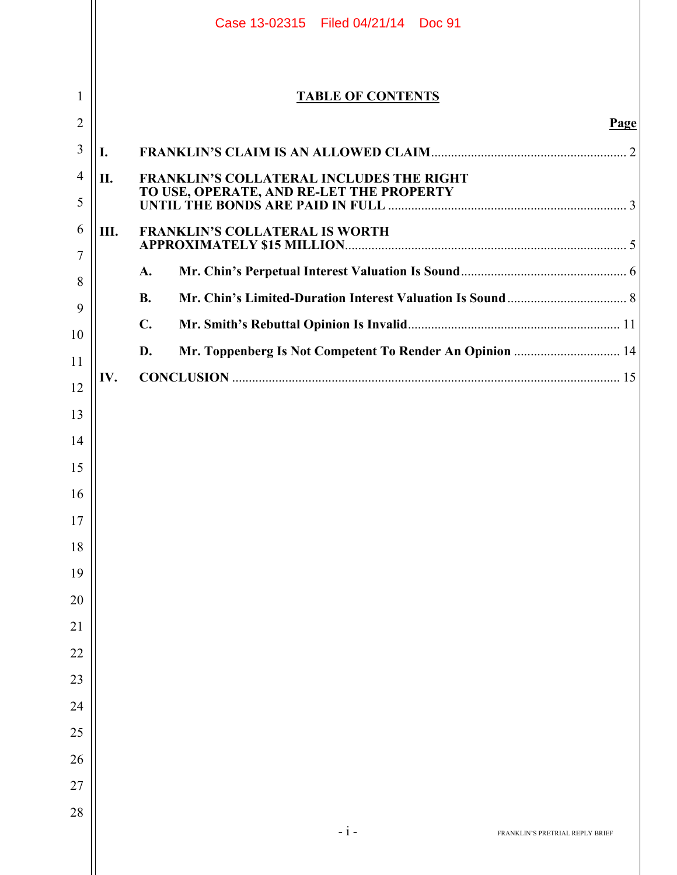|                     |      | Case 13-02315 Filed 04/21/14 Doc 91                            |  |
|---------------------|------|----------------------------------------------------------------|--|
| 1                   |      | <b>TABLE OF CONTENTS</b>                                       |  |
| $\overline{2}$      |      | Page                                                           |  |
| 3                   | I.   |                                                                |  |
| $\overline{4}$<br>5 | II.  | FRANKLIN'S COLLATERAL INCLUDES THE RIGHT                       |  |
| 6<br>7              | III. | <b>FRANKLIN'S COLLATERAL IS WORTH</b>                          |  |
| 8                   |      | A.                                                             |  |
| 9                   |      | <b>B.</b>                                                      |  |
| 10                  |      | $\mathbf{C}$ .                                                 |  |
| 11                  |      | Mr. Toppenberg Is Not Competent To Render An Opinion  14<br>D. |  |
| 12                  | IV.  | <b>CONCLUSION</b> 25                                           |  |
| 13                  |      |                                                                |  |
| 14                  |      |                                                                |  |
| 15                  |      |                                                                |  |
| 16                  |      |                                                                |  |
| 17                  |      |                                                                |  |
| 18                  |      |                                                                |  |
| 19                  |      |                                                                |  |
| 20                  |      |                                                                |  |
| 21                  |      |                                                                |  |
| 22                  |      |                                                                |  |
| 23                  |      |                                                                |  |
| 24                  |      |                                                                |  |
| 25                  |      |                                                                |  |
| 26                  |      |                                                                |  |
| 27                  |      |                                                                |  |
| 28                  |      | $-i-$                                                          |  |
|                     |      | FRANKLIN'S PRETRIAL REPLY BRIEF                                |  |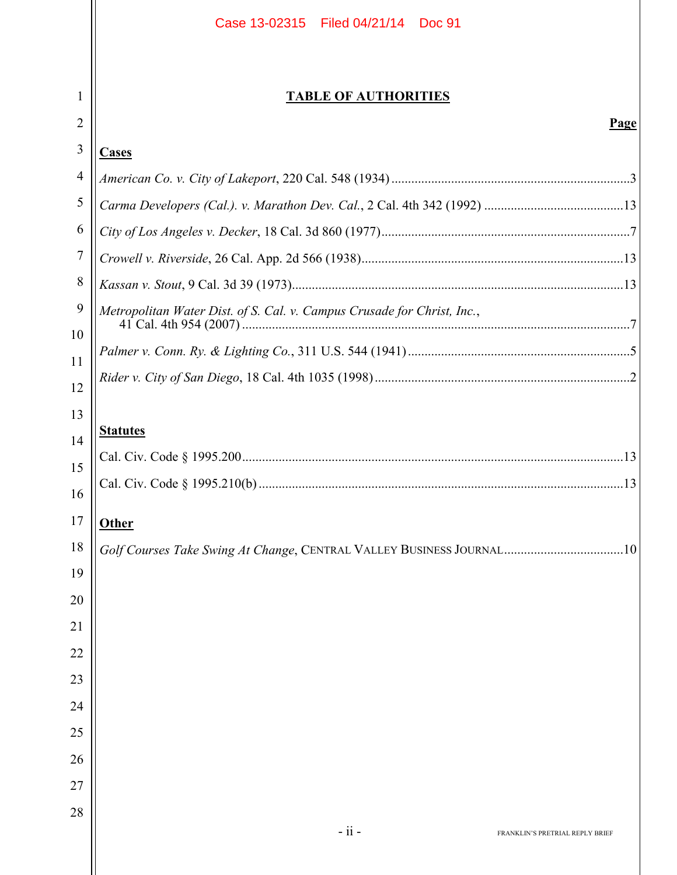|                | Case 13-02315 Filed 04/21/14 Doc 91                                       |  |  |  |
|----------------|---------------------------------------------------------------------------|--|--|--|
|                |                                                                           |  |  |  |
| 1              | <b>TABLE OF AUTHORITIES</b>                                               |  |  |  |
| 2              | <b>Page</b>                                                               |  |  |  |
| 3              | <b>Cases</b>                                                              |  |  |  |
| $\overline{4}$ |                                                                           |  |  |  |
| 5              |                                                                           |  |  |  |
| 6              |                                                                           |  |  |  |
| 7              |                                                                           |  |  |  |
| 8              |                                                                           |  |  |  |
| 9              | Metropolitan Water Dist. of S. Cal. v. Campus Crusade for Christ, Inc.,   |  |  |  |
| 10             |                                                                           |  |  |  |
| 11             |                                                                           |  |  |  |
| 12             |                                                                           |  |  |  |
| 13<br>14       | <b>Statutes</b>                                                           |  |  |  |
| 15             |                                                                           |  |  |  |
| 16             |                                                                           |  |  |  |
| 17             |                                                                           |  |  |  |
| 18             | <b>Other</b>                                                              |  |  |  |
| 19             | Golf Courses Take Swing At Change, CENTRAL VALLEY BUSINESS JOURNAL<br>.10 |  |  |  |
| 20             |                                                                           |  |  |  |
| 21             |                                                                           |  |  |  |
| 22             |                                                                           |  |  |  |
| 23             |                                                                           |  |  |  |
| 24             |                                                                           |  |  |  |
| 25             |                                                                           |  |  |  |
| 26             |                                                                           |  |  |  |
| 27             |                                                                           |  |  |  |
| 28             |                                                                           |  |  |  |
|                | $-ii -$<br>FRANKLIN'S PRETRIAL REPLY BRIEF                                |  |  |  |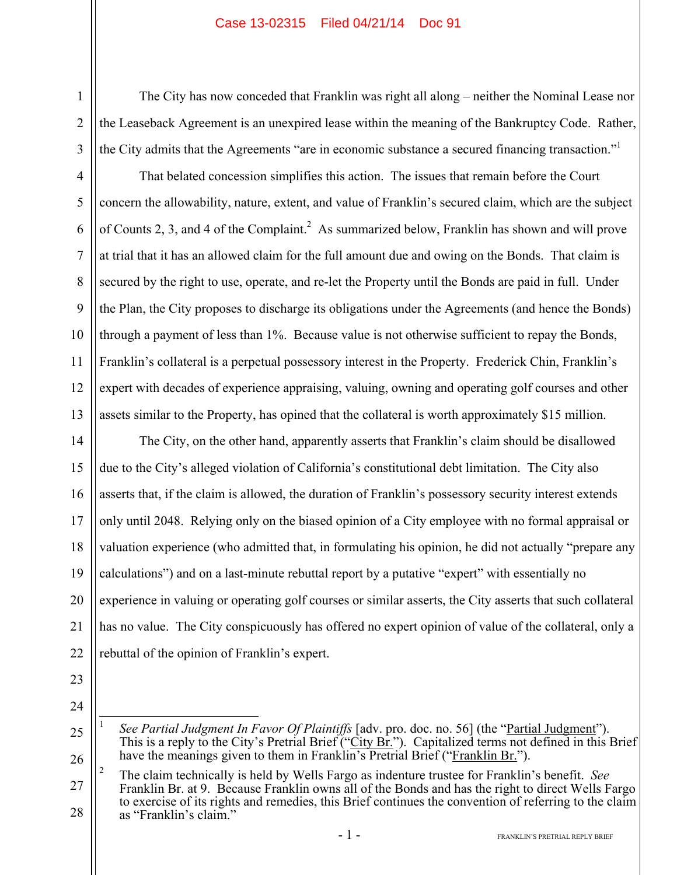The City has now conceded that Franklin was right all along – neither the Nominal Lease nor the Leaseback Agreement is an unexpired lease within the meaning of the Bankruptcy Code. Rather, the City admits that the Agreements "are in economic substance a secured financing transaction."<sup>1</sup>

That belated concession simplifies this action. The issues that remain before the Court concern the allowability, nature, extent, and value of Franklin's secured claim, which are the subject of Counts 2, 3, and 4 of the Complaint.<sup>2</sup> As summarized below, Franklin has shown and will prove at trial that it has an allowed claim for the full amount due and owing on the Bonds. That claim is secured by the right to use, operate, and re-let the Property until the Bonds are paid in full. Under the Plan, the City proposes to discharge its obligations under the Agreements (and hence the Bonds) through a payment of less than 1%. Because value is not otherwise sufficient to repay the Bonds, Franklin's collateral is a perpetual possessory interest in the Property. Frederick Chin, Franklin's expert with decades of experience appraising, valuing, owning and operating golf courses and other assets similar to the Property, has opined that the collateral is worth approximately \$15 million.

14 15 16 17 18 19 20 21 22 The City, on the other hand, apparently asserts that Franklin's claim should be disallowed due to the City's alleged violation of California's constitutional debt limitation. The City also asserts that, if the claim is allowed, the duration of Franklin's possessory security interest extends only until 2048. Relying only on the biased opinion of a City employee with no formal appraisal or valuation experience (who admitted that, in formulating his opinion, he did not actually "prepare any calculations") and on a last-minute rebuttal report by a putative "expert" with essentially no experience in valuing or operating golf courses or similar asserts, the City asserts that such collateral has no value. The City conspicuously has offered no expert opinion of value of the collateral, only a rebuttal of the opinion of Franklin's expert.

23

1

2

3

4

5

6

7

8

9

10

11

12

13

24

25

 $\overline{a}$ 1 *See Partial Judgment In Favor Of Plaintiffs* [adv. pro. doc. no. 56] (the "Partial Judgment"). This is a reply to the City's Pretrial Brief ("City Br."). Capitalized terms not defined in this Brief have the meanings given to them in Franklin's Pretrial Brief ("Franklin Br.").

<sup>27</sup> 28 2 The claim technically is held by Wells Fargo as indenture trustee for Franklin's benefit. *See*  Franklin Br. at 9. Because Franklin owns all of the Bonds and has the right to direct Wells Fargo to exercise of its rights and remedies, this Brief continues the convention of referring to the claim as "Franklin's claim."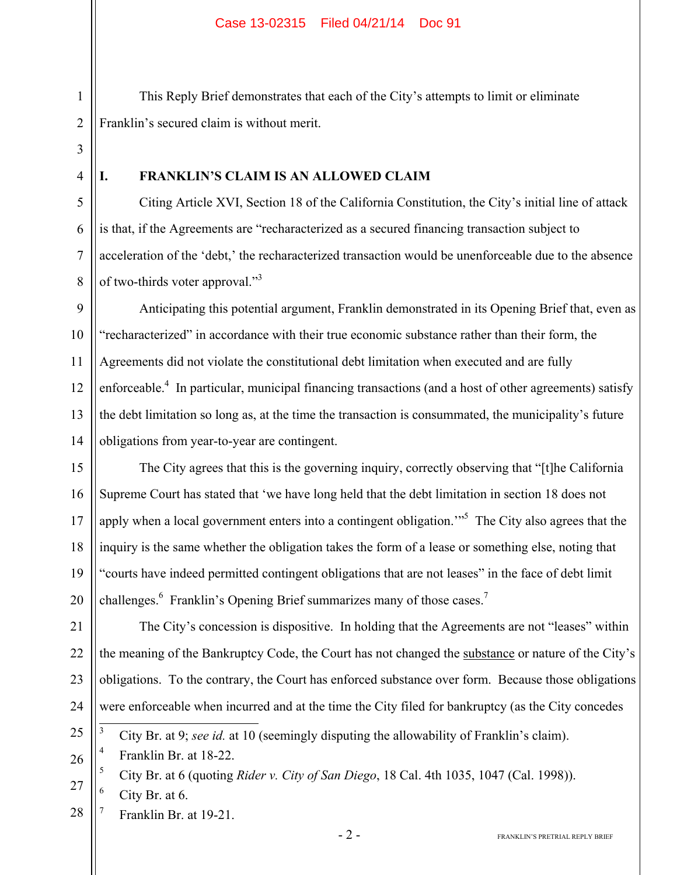This Reply Brief demonstrates that each of the City's attempts to limit or eliminate Franklin's secured claim is without merit.

4

5

6

7

8

1

2

3

## **I. FRANKLIN'S CLAIM IS AN ALLOWED CLAIM**

Citing Article XVI, Section 18 of the California Constitution, the City's initial line of attack is that, if the Agreements are "recharacterized as a secured financing transaction subject to acceleration of the 'debt,' the recharacterized transaction would be unenforceable due to the absence of two-thirds voter approval."<sup>3</sup>

9 10 11 12 13 14 Anticipating this potential argument, Franklin demonstrated in its Opening Brief that, even as "recharacterized" in accordance with their true economic substance rather than their form, the Agreements did not violate the constitutional debt limitation when executed and are fully enforceable.<sup>4</sup> In particular, municipal financing transactions (and a host of other agreements) satisfy the debt limitation so long as, at the time the transaction is consummated, the municipality's future obligations from year-to-year are contingent.

15 16 17 18 19 20 The City agrees that this is the governing inquiry, correctly observing that "[t]he California Supreme Court has stated that 'we have long held that the debt limitation in section 18 does not apply when a local government enters into a contingent obligation.<sup>355</sup> The City also agrees that the inquiry is the same whether the obligation takes the form of a lease or something else, noting that "courts have indeed permitted contingent obligations that are not leases" in the face of debt limit challenges.  $6$  Franklin's Opening Brief summarizes many of those cases.<sup>7</sup>

21 22 23 24 The City's concession is dispositive. In holding that the Agreements are not "leases" within the meaning of the Bankruptcy Code, the Court has not changed the substance or nature of the City's obligations. To the contrary, the Court has enforced substance over form. Because those obligations were enforceable when incurred and at the time the City filed for bankruptcy (as the City concedes 3

25 City Br. at 9; *see id.* at 10 (seemingly disputing the allowability of Franklin's claim).

26 4 Franklin Br. at 18-22.

5 City Br. at 6 (quoting *Rider v. City of San Diego*, 18 Cal. 4th 1035, 1047 (Cal. 1998)).

27 6 City Br. at 6.

28 7 Franklin Br. at 19-21.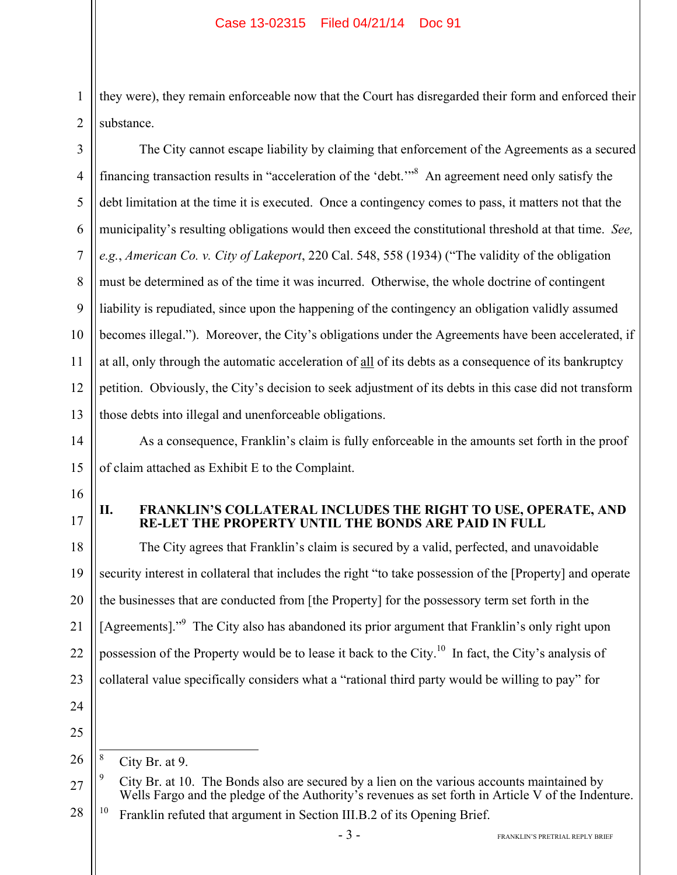2 they were), they remain enforceable now that the Court has disregarded their form and enforced their substance.

3 4 5 6 7 8 9 10 11 12 13 The City cannot escape liability by claiming that enforcement of the Agreements as a secured financing transaction results in "acceleration of the 'debt.'"8 An agreement need only satisfy the debt limitation at the time it is executed. Once a contingency comes to pass, it matters not that the municipality's resulting obligations would then exceed the constitutional threshold at that time. *See, e.g.*, *American Co. v. City of Lakeport*, 220 Cal. 548, 558 (1934) ("The validity of the obligation must be determined as of the time it was incurred. Otherwise, the whole doctrine of contingent liability is repudiated, since upon the happening of the contingency an obligation validly assumed becomes illegal."). Moreover, the City's obligations under the Agreements have been accelerated, if at all, only through the automatic acceleration of all of its debts as a consequence of its bankruptcy petition. Obviously, the City's decision to seek adjustment of its debts in this case did not transform those debts into illegal and unenforceable obligations.

14 15 As a consequence, Franklin's claim is fully enforceable in the amounts set forth in the proof of claim attached as Exhibit E to the Complaint.

16

1

17

## **II. FRANKLIN'S COLLATERAL INCLUDES THE RIGHT TO USE, OPERATE, AND RE-LET THE PROPERTY UNTIL THE BONDS ARE PAID IN FULL**

18 19 20 21 22 23 24 25 The City agrees that Franklin's claim is secured by a valid, perfected, and unavoidable security interest in collateral that includes the right "to take possession of the [Property] and operate the businesses that are conducted from [the Property] for the possessory term set forth in the [Agreements]."<sup>9</sup> The City also has abandoned its prior argument that Franklin's only right upon possession of the Property would be to lease it back to the City.10 In fact, the City's analysis of collateral value specifically considers what a "rational third party would be willing to pay" for

26  $\overline{a}$ 8 City Br. at 9.

28 <sup>10</sup> Franklin refuted that argument in Section III.B.2 of its Opening Brief.

<sup>27</sup> 9 City Br. at 10. The Bonds also are secured by a lien on the various accounts maintained by Wells Fargo and the pledge of the Authority's revenues as set forth in Article V of the Indenture.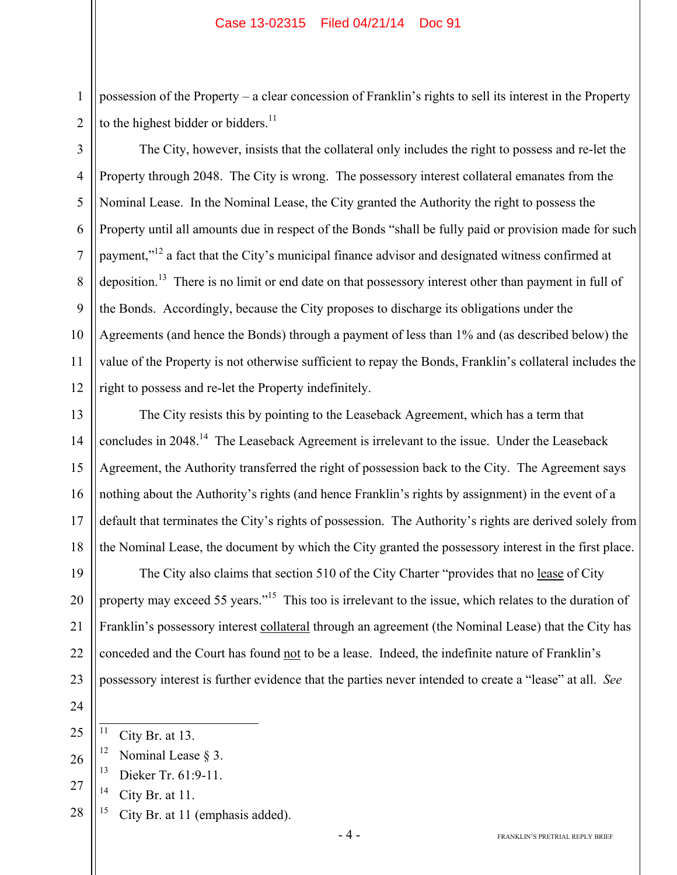possession of the Property – a clear concession of Franklin's rights to sell its interest in the Property to the highest bidder or bidders. $^{11}$ 

2 3

4

5

6

7

8

9

10

11

12

1

The City, however, insists that the collateral only includes the right to possess and re-let the Property through 2048. The City is wrong. The possessory interest collateral emanates from the Nominal Lease. In the Nominal Lease, the City granted the Authority the right to possess the Property until all amounts due in respect of the Bonds "shall be fully paid or provision made for such payment,"<sup>12</sup> a fact that the City's municipal finance advisor and designated witness confirmed at deposition.<sup>13</sup> There is no limit or end date on that possessory interest other than payment in full of the Bonds. Accordingly, because the City proposes to discharge its obligations under the Agreements (and hence the Bonds) through a payment of less than 1% and (as described below) the value of the Property is not otherwise sufficient to repay the Bonds, Franklin's collateral includes the right to possess and re-let the Property indefinitely.

13 14 15 16 17 18 The City resists this by pointing to the Leaseback Agreement, which has a term that concludes in 2048.<sup>14</sup> The Leaseback Agreement is irrelevant to the issue. Under the Leaseback Agreement, the Authority transferred the right of possession back to the City. The Agreement says nothing about the Authority's rights (and hence Franklin's rights by assignment) in the event of a default that terminates the City's rights of possession. The Authority's rights are derived solely from the Nominal Lease, the document by which the City granted the possessory interest in the first place.

19 20 21 22 23 The City also claims that section 510 of the City Charter "provides that no lease of City property may exceed 55 years."<sup>15</sup> This too is irrelevant to the issue, which relates to the duration of Franklin's possessory interest collateral through an agreement (the Nominal Lease) that the City has conceded and the Court has found not to be a lease. Indeed, the indefinite nature of Franklin's possessory interest is further evidence that the parties never intended to create a "lease" at all. *See* 

24 25

 $\overline{11}$ City Br. at 13.

- 26 <sup>12</sup> Nominal Lease  $§$  3.
	- 13 Dieker Tr. 61:9-11.
- 27  $14$  City Br. at 11.
- 28 <sup>15</sup> City Br. at 11 (emphasis added).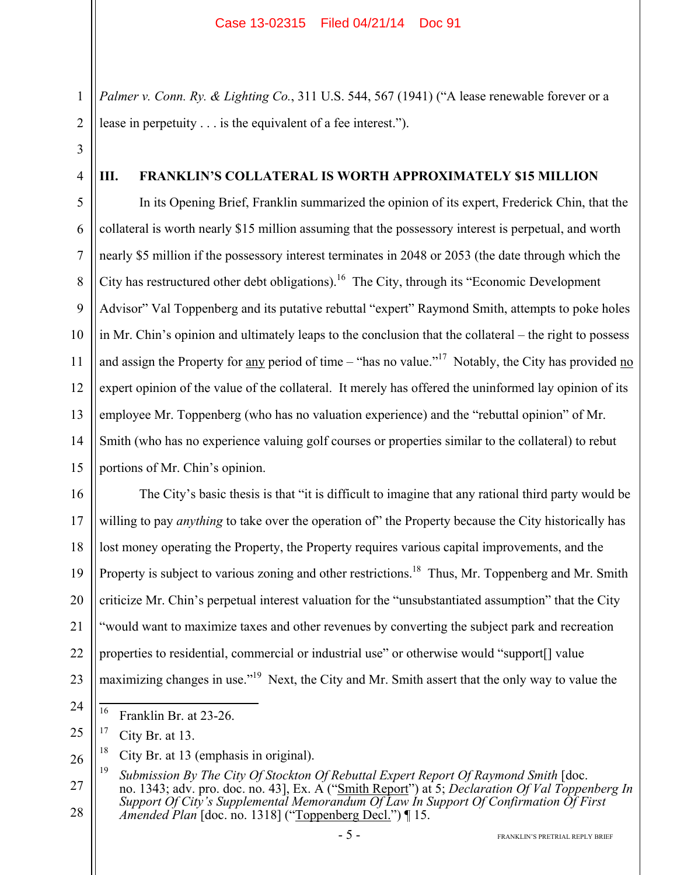*Palmer v. Conn. Ry. & Lighting Co.*, 311 U.S. 544, 567 (1941) ("A lease renewable forever or a lease in perpetuity . . . is the equivalent of a fee interest.").

3 4

1

2

### **III. FRANKLIN'S COLLATERAL IS WORTH APPROXIMATELY \$15 MILLION**

5 6 7 8 9 10 11 12 13 14 15 In its Opening Brief, Franklin summarized the opinion of its expert, Frederick Chin, that the collateral is worth nearly \$15 million assuming that the possessory interest is perpetual, and worth nearly \$5 million if the possessory interest terminates in 2048 or 2053 (the date through which the City has restructured other debt obligations).<sup>16</sup> The City, through its "Economic Development Advisor" Val Toppenberg and its putative rebuttal "expert" Raymond Smith, attempts to poke holes in Mr. Chin's opinion and ultimately leaps to the conclusion that the collateral – the right to possess and assign the Property for any period of time – "has no value."<sup>17</sup> Notably, the City has provided no expert opinion of the value of the collateral. It merely has offered the uninformed lay opinion of its employee Mr. Toppenberg (who has no valuation experience) and the "rebuttal opinion" of Mr. Smith (who has no experience valuing golf courses or properties similar to the collateral) to rebut portions of Mr. Chin's opinion.

16 17 18 19 20 21 22 23 The City's basic thesis is that "it is difficult to imagine that any rational third party would be willing to pay *anything* to take over the operation of" the Property because the City historically has lost money operating the Property, the Property requires various capital improvements, and the Property is subject to various zoning and other restrictions.<sup>18</sup> Thus, Mr. Toppenberg and Mr. Smith criticize Mr. Chin's perpetual interest valuation for the "unsubstantiated assumption" that the City "would want to maximize taxes and other revenues by converting the subject park and recreation properties to residential, commercial or industrial use" or otherwise would "support[] value maximizing changes in use."<sup>19</sup> Next, the City and Mr. Smith assert that the only way to value the

 $\overline{16}$ Franklin Br. at 23-26.

<sup>25</sup>  $17$  City Br. at 13.

<sup>26</sup> <sup>18</sup> City Br. at 13 (emphasis in original).

<sup>27</sup> 28 <sup>19</sup> *Submission By The City Of Stockton Of Rebuttal Expert Report Of Raymond Smith* [doc. no. 1343; adv. pro. doc. no. 43], Ex. A ("Smith Report") at 5; *Declaration Of Val Toppenberg In Support Of City's Supplemental Memorandum Of Law In Support Of Confirmation Of First Amended Plan* [doc. no. 1318] ("Toppenberg Decl.") ¶ 15.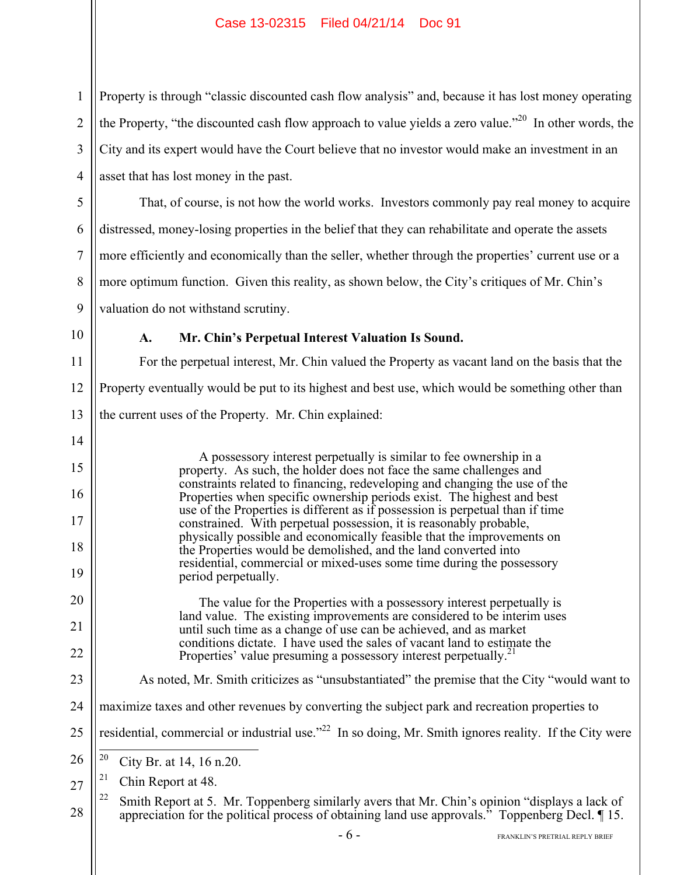1 2 3 4 Property is through "classic discounted cash flow analysis" and, because it has lost money operating the Property, "the discounted cash flow approach to value yields a zero value."<sup>20</sup> In other words, the City and its expert would have the Court believe that no investor would make an investment in an asset that has lost money in the past.

That, of course, is not how the world works. Investors commonly pay real money to acquire distressed, money-losing properties in the belief that they can rehabilitate and operate the assets more efficiently and economically than the seller, whether through the properties' current use or a more optimum function. Given this reality, as shown below, the City's critiques of Mr. Chin's valuation do not withstand scrutiny.

10

14

15

16

17

18

19

20

21

22

23

9

5

6

7

8

## **A. Mr. Chin's Perpetual Interest Valuation Is Sound.**

11 12 13 For the perpetual interest, Mr. Chin valued the Property as vacant land on the basis that the Property eventually would be put to its highest and best use, which would be something other than the current uses of the Property. Mr. Chin explained:

> A possessory interest perpetually is similar to fee ownership in a property. As such, the holder does not face the same challenges and constraints related to financing, redeveloping and changing the use of the Properties when specific ownership periods exist. The highest and best use of the Properties is different as if possession is perpetual than if time constrained. With perpetual possession, it is reasonably probable, physically possible and economically feasible that the improvements on the Properties would be demolished, and the land converted into residential, commercial or mixed-uses some time during the possessory period perpetually.

The value for the Properties with a possessory interest perpetually is land value. The existing improvements are considered to be interim uses until such time as a change of use can be achieved, and as market conditions dictate. I have used the sales of vacant land to estimate the Properties' value presuming a possessory interest perpetually.<sup>2</sup>

- As noted, Mr. Smith criticizes as "unsubstantiated" the premise that the City "would want to
- 24 maximize taxes and other revenues by converting the subject park and recreation properties to
- 25 residential, commercial or industrial use."<sup>22</sup> In so doing, Mr. Smith ignores reality. If the City were
- 26  $20$ City Br. at 14, 16 n.20.
- 27  $21$  Chin Report at 48.
- 28 <sup>22</sup> Smith Report at 5. Mr. Toppenberg similarly avers that Mr. Chin's opinion "displays a lack of appreciation for the political process of obtaining land use approvals." Toppenberg Decl. ¶ 15.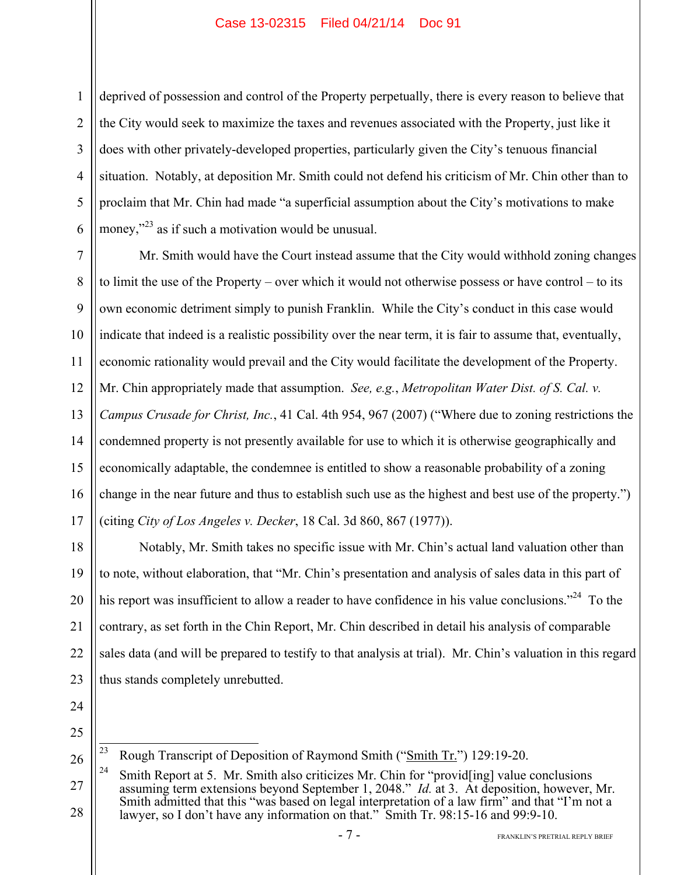1 2 3 4 5 6 deprived of possession and control of the Property perpetually, there is every reason to believe that the City would seek to maximize the taxes and revenues associated with the Property, just like it does with other privately-developed properties, particularly given the City's tenuous financial situation. Notably, at deposition Mr. Smith could not defend his criticism of Mr. Chin other than to proclaim that Mr. Chin had made "a superficial assumption about the City's motivations to make money,"<sup>23</sup> as if such a motivation would be unusual.

7 8 9 10 11 12 13 14 15 16 17 Mr. Smith would have the Court instead assume that the City would withhold zoning changes to limit the use of the Property – over which it would not otherwise possess or have control – to its own economic detriment simply to punish Franklin. While the City's conduct in this case would indicate that indeed is a realistic possibility over the near term, it is fair to assume that, eventually, economic rationality would prevail and the City would facilitate the development of the Property. Mr. Chin appropriately made that assumption. *See, e.g.*, *Metropolitan Water Dist. of S. Cal. v. Campus Crusade for Christ, Inc.*, 41 Cal. 4th 954, 967 (2007) ("Where due to zoning restrictions the condemned property is not presently available for use to which it is otherwise geographically and economically adaptable, the condemnee is entitled to show a reasonable probability of a zoning change in the near future and thus to establish such use as the highest and best use of the property.") (citing *City of Los Angeles v. Decker*, 18 Cal. 3d 860, 867 (1977)).

18 19 20 21 22 23 Notably, Mr. Smith takes no specific issue with Mr. Chin's actual land valuation other than to note, without elaboration, that "Mr. Chin's presentation and analysis of sales data in this part of his report was insufficient to allow a reader to have confidence in his value conclusions."<sup>24</sup> To the contrary, as set forth in the Chin Report, Mr. Chin described in detail his analysis of comparable sales data (and will be prepared to testify to that analysis at trial). Mr. Chin's valuation in this regard thus stands completely unrebutted.

- 24
- 25

 $\overline{23}$ 23 Rough Transcript of Deposition of Raymond Smith ("Smith Tr.") 129:19-20.

<sup>27</sup> 28 <sup>24</sup> Smith Report at 5. Mr. Smith also criticizes Mr. Chin for "provid[ing] value conclusions assuming term extensions beyond September 1, 2048." *Id.* at 3. At deposition, however, Mr. Smith admitted that this "was based on legal interpretation of a law firm" and that "I'm not a lawyer, so I don't have any information on that." Smith Tr. 98:15-16 and 99:9-10.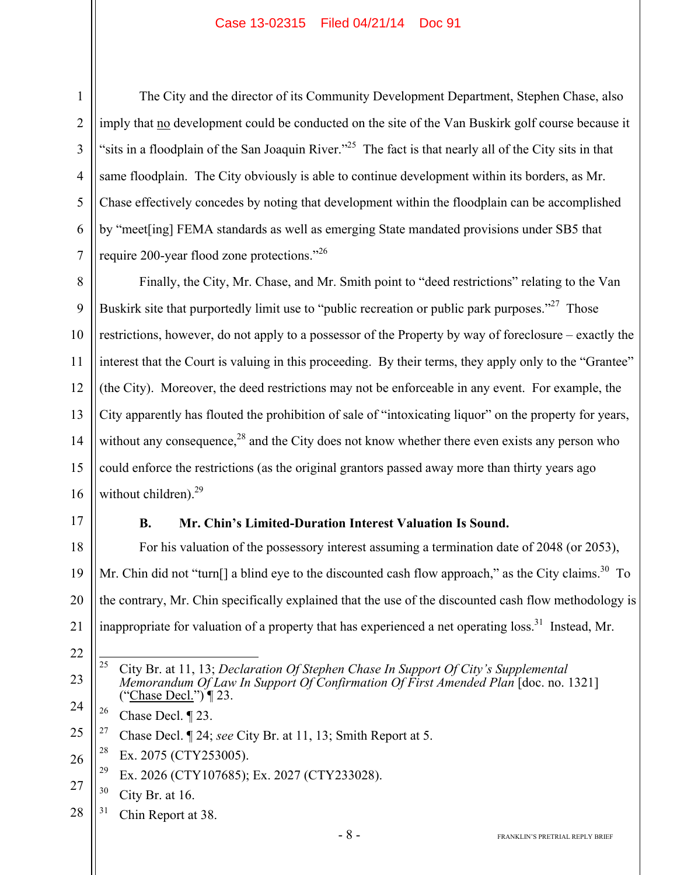The City and the director of its Community Development Department, Stephen Chase, also imply that no development could be conducted on the site of the Van Buskirk golf course because it "sits in a floodplain of the San Joaquin River."<sup>25</sup> The fact is that nearly all of the City sits in that same floodplain. The City obviously is able to continue development within its borders, as Mr. Chase effectively concedes by noting that development within the floodplain can be accomplished by "meet[ing] FEMA standards as well as emerging State mandated provisions under SB5 that require 200-year flood zone protections."<sup>26</sup>

8 9 10 11 12 13 14 15 16 Finally, the City, Mr. Chase, and Mr. Smith point to "deed restrictions" relating to the Van Buskirk site that purportedly limit use to "public recreation or public park purposes."<sup>27</sup> Those restrictions, however, do not apply to a possessor of the Property by way of foreclosure – exactly the interest that the Court is valuing in this proceeding. By their terms, they apply only to the "Grantee" (the City). Moreover, the deed restrictions may not be enforceable in any event. For example, the City apparently has flouted the prohibition of sale of "intoxicating liquor" on the property for years, without any consequence,<sup>28</sup> and the City does not know whether there even exists any person who could enforce the restrictions (as the original grantors passed away more than thirty years ago without children). $29$ 

17

1

2

3

4

5

6

7

## **B. Mr. Chin's Limited-Duration Interest Valuation Is Sound.**

18 19 20 For his valuation of the possessory interest assuming a termination date of 2048 (or 2053), Mr. Chin did not "turn[] a blind eye to the discounted cash flow approach," as the City claims.<sup>30</sup> To the contrary, Mr. Chin specifically explained that the use of the discounted cash flow methodology is inappropriate for valuation of a property that has experienced a net operating loss.<sup>31</sup> Instead, Mr.

- 21 22
- 23
- $\overline{25}$ 25 City Br. at 11, 13; *Declaration Of Stephen Chase In Support Of City's Supplemental Memorandum Of Law In Support Of Confirmation Of First Amended Plan* [doc. no. 1321] ("Chase Decl.") ¶ 23.
- 24 <sup>26</sup> Chase Decl.  $\P$  23.
- 25 27 Chase Decl. ¶ 24; *see* City Br. at 11, 13; Smith Report at 5.
- 26  $28$  Ex. 2075 (CTY253005).
	- <sup>29</sup> Ex. 2026 (CTY107685); Ex. 2027 (CTY233028).
- 27  $30$  City Br. at 16.
- 28 <sup>31</sup> Chin Report at 38.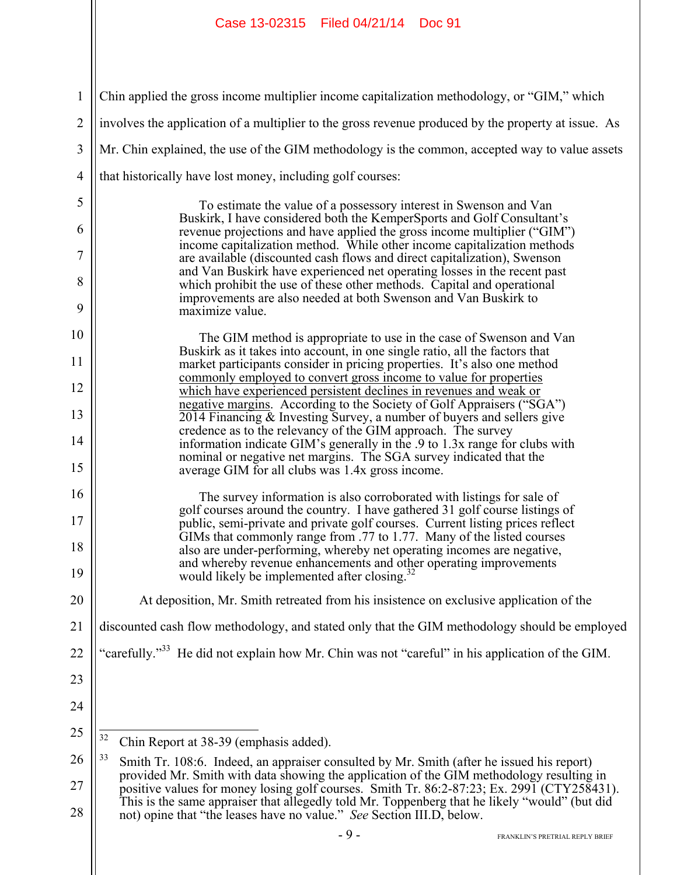| $\mathbf{1}$   | Chin applied the gross income multiplier income capitalization methodology, or "GIM," which                                                                                                                                           |  |  |
|----------------|---------------------------------------------------------------------------------------------------------------------------------------------------------------------------------------------------------------------------------------|--|--|
| $\overline{2}$ | involves the application of a multiplier to the gross revenue produced by the property at issue. As                                                                                                                                   |  |  |
| 3              | Mr. Chin explained, the use of the GIM methodology is the common, accepted way to value assets                                                                                                                                        |  |  |
| $\overline{4}$ | that historically have lost money, including golf courses:                                                                                                                                                                            |  |  |
| 5              | To estimate the value of a possessory interest in Swenson and Van                                                                                                                                                                     |  |  |
| 6              | Buskirk, I have considered both the KemperSports and Golf Consultant's<br>revenue projections and have applied the gross income multiplier ("GIM")                                                                                    |  |  |
| 7              | income capitalization method. While other income capitalization methods<br>are available (discounted cash flows and direct capitalization), Swenson                                                                                   |  |  |
| 8              | and Van Buskirk have experienced net operating losses in the recent past<br>which prohibit the use of these other methods. Capital and operational<br>improvements are also needed at both Swenson and Van Buskirk to                 |  |  |
| 9              | maximize value.                                                                                                                                                                                                                       |  |  |
| 10<br>11       | The GIM method is appropriate to use in the case of Swenson and Van<br>Buskirk as it takes into account, in one single ratio, all the factors that<br>market participants consider in pricing properties. It's also one method        |  |  |
| 12             | commonly employed to convert gross income to value for properties                                                                                                                                                                     |  |  |
| 13             | which have experienced persistent declines in revenues and weak or<br>negative margins. According to the Society of Golf Appraisers ("SGA")<br>2014 Financing & Investing Survey, a number of buyers and sellers give                 |  |  |
| 14             | credence as to the relevancy of the GIM approach. The survey<br>information indicate GIM's generally in the .9 to 1.3x range for clubs with                                                                                           |  |  |
| 15             | nominal or negative net margins. The SGA survey indicated that the<br>average GIM for all clubs was 1.4x gross income.                                                                                                                |  |  |
| 16             | The survey information is also corroborated with listings for sale of                                                                                                                                                                 |  |  |
| 17             | golf courses around the country. I have gathered 31 golf course listings of<br>public, semi-private and private golf courses. Current listing prices reflect<br>GIMs that commonly range from .77 to 1.77. Many of the listed courses |  |  |
| 18             | also are under-performing, whereby net operating incomes are negative,                                                                                                                                                                |  |  |
| 19             | and whereby revenue enhancements and other operating improvements<br>would likely be implemented after closing.                                                                                                                       |  |  |
| 20             | At deposition, Mr. Smith retreated from his insistence on exclusive application of the                                                                                                                                                |  |  |
| 21             | discounted cash flow methodology, and stated only that the GIM methodology should be employed                                                                                                                                         |  |  |
| 22             | "carefully." <sup>33</sup> He did not explain how Mr. Chin was not "careful" in his application of the GIM.                                                                                                                           |  |  |
| 23             |                                                                                                                                                                                                                                       |  |  |
| 24             |                                                                                                                                                                                                                                       |  |  |
| 25             | 32<br>Chin Report at 38-39 (emphasis added).                                                                                                                                                                                          |  |  |
| 26             | 33<br>Smith Tr. 108:6. Indeed, an appraiser consulted by Mr. Smith (after he issued his report)                                                                                                                                       |  |  |
| 27             | provided Mr. Smith with data showing the application of the GIM methodology resulting in<br>positive values for money losing golf courses. Smith Tr. 86:2-87:23; Ex. 2991 (CTY258431).                                                |  |  |
| 28             | This is the same appraiser that allegedly told Mr. Toppenberg that he likely "would" (but did<br>not) opine that "the leases have no value." See Section III.D, below.                                                                |  |  |
|                | $-9-$<br>FRANKLIN'S PRETRIAL REPLY BRIEF                                                                                                                                                                                              |  |  |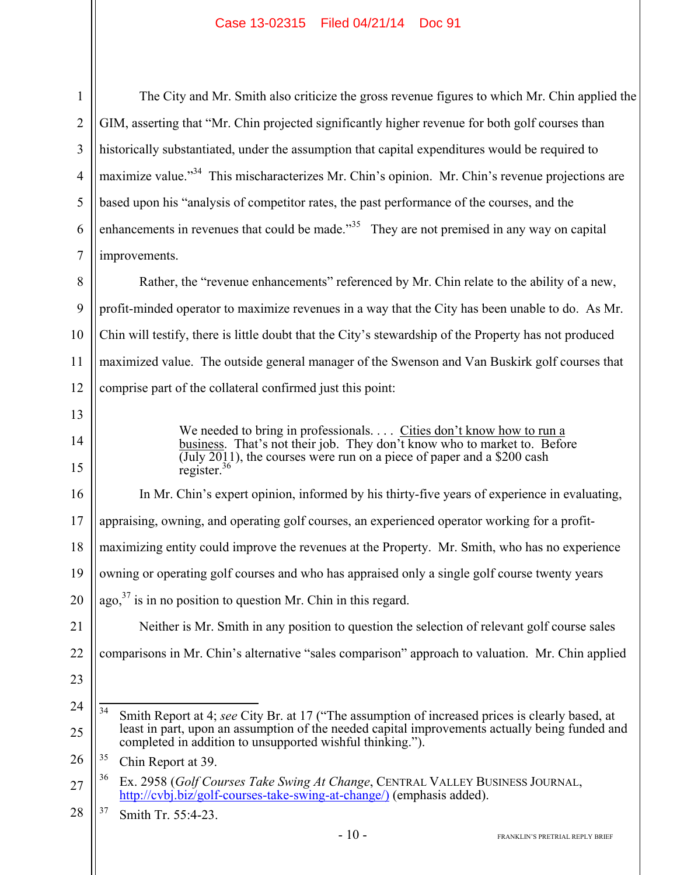28

The City and Mr. Smith also criticize the gross revenue figures to which Mr. Chin applied the GIM, asserting that "Mr. Chin projected significantly higher revenue for both golf courses than historically substantiated, under the assumption that capital expenditures would be required to maximize value."<sup>34</sup> This mischaracterizes Mr. Chin's opinion. Mr. Chin's revenue projections are based upon his "analysis of competitor rates, the past performance of the courses, and the enhancements in revenues that could be made."<sup>35</sup> They are not premised in any way on capital improvements. Rather, the "revenue enhancements" referenced by Mr. Chin relate to the ability of a new, profit-minded operator to maximize revenues in a way that the City has been unable to do. As Mr. Chin will testify, there is little doubt that the City's stewardship of the Property has not produced maximized value. The outside general manager of the Swenson and Van Buskirk golf courses that comprise part of the collateral confirmed just this point: We needed to bring in professionals. . . . Cities don't know how to run a business. That's not their job. They don't know who to market to. Before  $\overline{(\text{July }2011)}$ , the courses were run on a piece of paper and a \$200 cash register. $36$ In Mr. Chin's expert opinion, informed by his thirty-five years of experience in evaluating, appraising, owning, and operating golf courses, an experienced operator working for a profitmaximizing entity could improve the revenues at the Property. Mr. Smith, who has no experience owning or operating golf courses and who has appraised only a single golf course twenty years ago, $37$  is in no position to question Mr. Chin in this regard. Neither is Mr. Smith in any position to question the selection of relevant golf course sales comparisons in Mr. Chin's alternative "sales comparison" approach to valuation. Mr. Chin applied 34 Smith Report at 4; *see* City Br. at 17 ("The assumption of increased prices is clearly based, at least in part, upon an assumption of the needed capital improvements actually being funded and completed in addition to unsupported wishful thinking."). <sup>35</sup> Chin Report at 39. 36 Ex. 2958 (*Golf Courses Take Swing At Change*, CENTRAL VALLEY BUSINESS JOURNAL, http://cvbj.biz/golf-courses-take-swing-at-change/) (emphasis added). 37 Smith Tr. 55:4-23.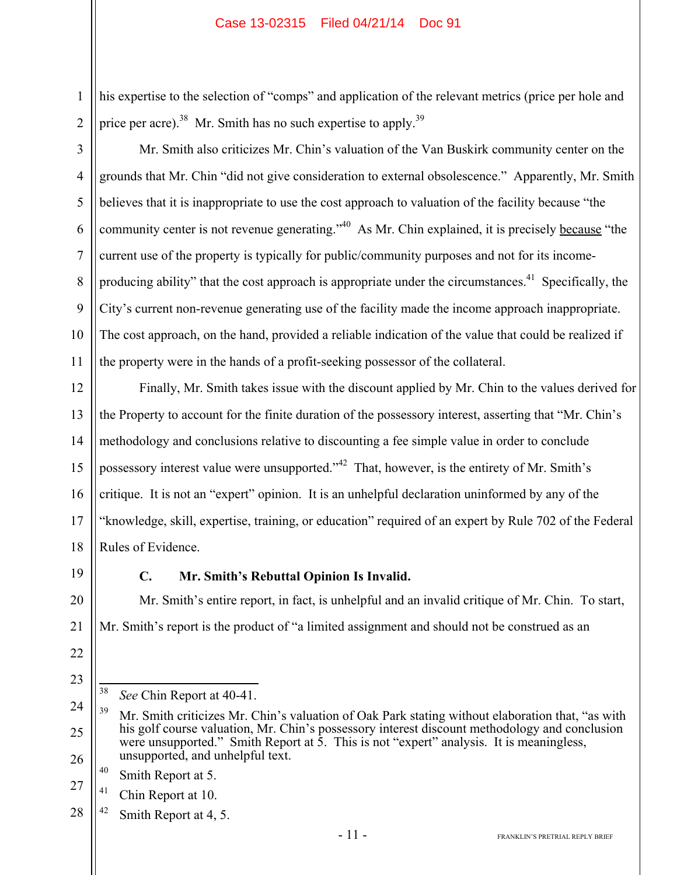his expertise to the selection of "comps" and application of the relevant metrics (price per hole and price per acre).<sup>38</sup> Mr. Smith has no such expertise to apply.<sup>39</sup>

3 4 5 6 7 8 9 10 11 Mr. Smith also criticizes Mr. Chin's valuation of the Van Buskirk community center on the grounds that Mr. Chin "did not give consideration to external obsolescence." Apparently, Mr. Smith believes that it is inappropriate to use the cost approach to valuation of the facility because "the community center is not revenue generating."40 As Mr. Chin explained, it is precisely because "the current use of the property is typically for public/community purposes and not for its incomeproducing ability" that the cost approach is appropriate under the circumstances.<sup>41</sup> Specifically, the City's current non-revenue generating use of the facility made the income approach inappropriate. The cost approach, on the hand, provided a reliable indication of the value that could be realized if the property were in the hands of a profit-seeking possessor of the collateral.

12 13 14 15 16 17 18 Finally, Mr. Smith takes issue with the discount applied by Mr. Chin to the values derived for the Property to account for the finite duration of the possessory interest, asserting that "Mr. Chin's methodology and conclusions relative to discounting a fee simple value in order to conclude possessory interest value were unsupported."<sup>42</sup> That, however, is the entirety of Mr. Smith's critique. It is not an "expert" opinion. It is an unhelpful declaration uninformed by any of the "knowledge, skill, expertise, training, or education" required of an expert by Rule 702 of the Federal Rules of Evidence.

19

20

21

22

23

1

2

# **C. Mr. Smith's Rebuttal Opinion Is Invalid.**

Mr. Smith's entire report, in fact, is unhelpful and an invalid critique of Mr. Chin. To start, Mr. Smith's report is the product of "a limited assignment and should not be construed as an

38 See Chin Report at 40-41.

- 40 Smith Report at 5.
- 27  $41$  Chin Report at 10.
- 28  $42$  Smith Report at 4, 5.

<sup>24</sup> 25 26 <sup>39</sup> Mr. Smith criticizes Mr. Chin's valuation of Oak Park stating without elaboration that, "as with his golf course valuation, Mr. Chin's possessory interest discount methodology and conclusion were unsupported." Smith Report at 5. This is not "expert" analysis. It is meaningless, unsupported, and unhelpful text.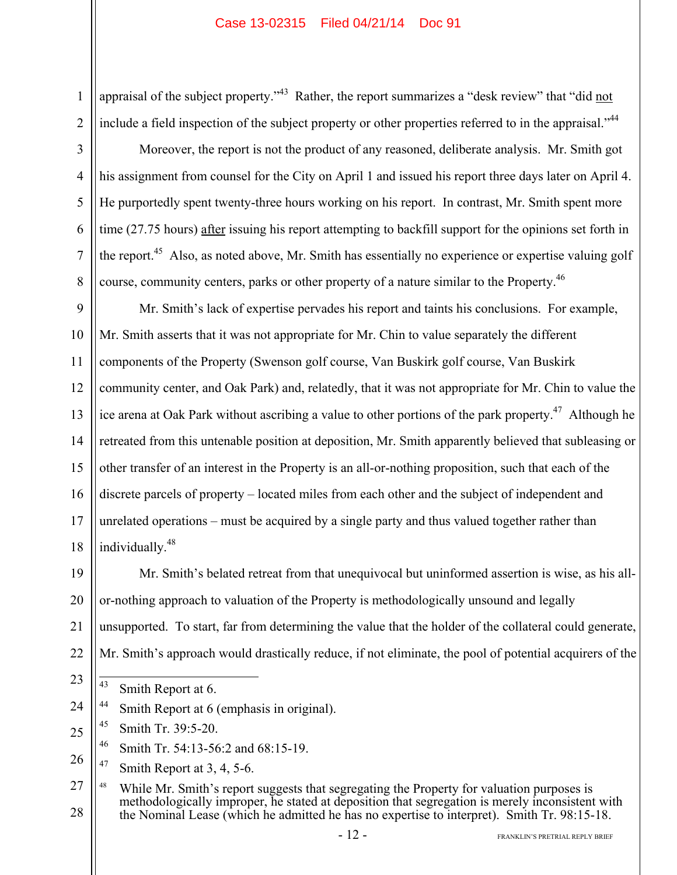appraisal of the subject property."<sup>43</sup> Rather, the report summarizes a "desk review" that "did not include a field inspection of the subject property or other properties referred to in the appraisal."<sup>44</sup>

1

2

3

4

5

6

7

8

Moreover, the report is not the product of any reasoned, deliberate analysis. Mr. Smith got his assignment from counsel for the City on April 1 and issued his report three days later on April 4. He purportedly spent twenty-three hours working on his report. In contrast, Mr. Smith spent more time (27.75 hours) after issuing his report attempting to backfill support for the opinions set forth in the report.<sup>45</sup> Also, as noted above, Mr. Smith has essentially no experience or expertise valuing golf course, community centers, parks or other property of a nature similar to the Property.<sup>46</sup>

9 10 11 12 13 14 15 16 17 18 Mr. Smith's lack of expertise pervades his report and taints his conclusions. For example, Mr. Smith asserts that it was not appropriate for Mr. Chin to value separately the different components of the Property (Swenson golf course, Van Buskirk golf course, Van Buskirk community center, and Oak Park) and, relatedly, that it was not appropriate for Mr. Chin to value the ice arena at Oak Park without ascribing a value to other portions of the park property.<sup>47</sup> Although he retreated from this untenable position at deposition, Mr. Smith apparently believed that subleasing or other transfer of an interest in the Property is an all-or-nothing proposition, such that each of the discrete parcels of property – located miles from each other and the subject of independent and unrelated operations – must be acquired by a single party and thus valued together rather than individually.<sup>48</sup>

19 20

23

21 22 Mr. Smith's belated retreat from that unequivocal but uninformed assertion is wise, as his allor-nothing approach to valuation of the Property is methodologically unsound and legally unsupported. To start, far from determining the value that the holder of the collateral could generate, Mr. Smith's approach would drastically reduce, if not eliminate, the pool of potential acquirers of the

- $\overline{43}$ Smith Report at 6.
- 24 <sup>44</sup> Smith Report at 6 (emphasis in original).
- 25  $45$  Smith Tr. 39:5-20.
	- 46 Smith Tr. 54:13-56:2 and 68:15-19.
- 26 <sup>47</sup> Smith Report at  $3, 4, 5-6$ .

27 28 <sup>48</sup> While Mr. Smith's report suggests that segregating the Property for valuation purposes is methodologically improper, he stated at deposition that segregation is merely inconsistent with the Nominal Lease (which he admitted he has no expertise to interpret). Smith Tr. 98:15-18.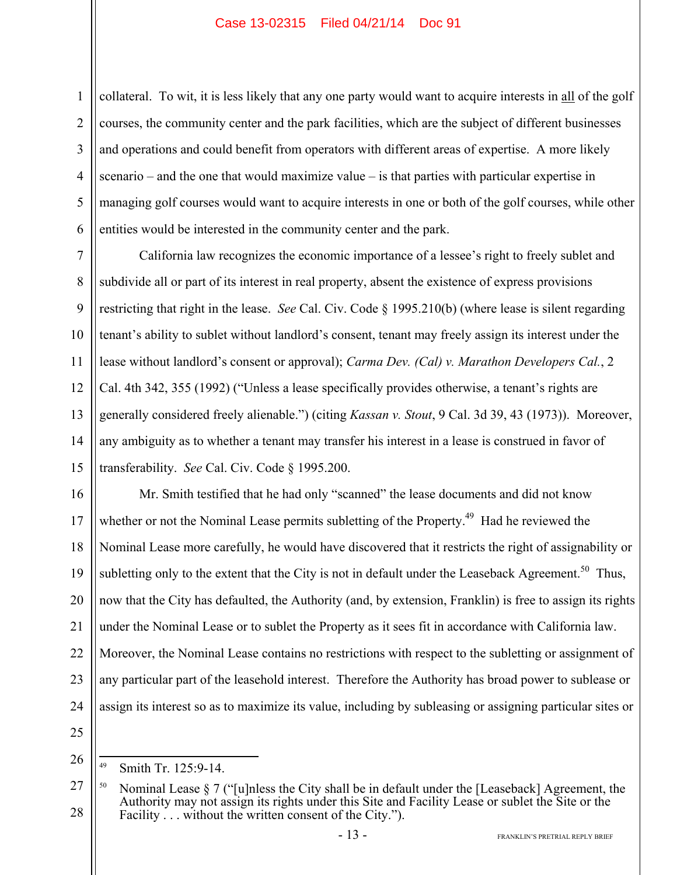1 2 3 4 5 6 collateral. To wit, it is less likely that any one party would want to acquire interests in all of the golf courses, the community center and the park facilities, which are the subject of different businesses and operations and could benefit from operators with different areas of expertise. A more likely scenario – and the one that would maximize value – is that parties with particular expertise in managing golf courses would want to acquire interests in one or both of the golf courses, while other entities would be interested in the community center and the park.

7 8 9 10 11 12 13 14 15 California law recognizes the economic importance of a lessee's right to freely sublet and subdivide all or part of its interest in real property, absent the existence of express provisions restricting that right in the lease. *See* Cal. Civ. Code § 1995.210(b) (where lease is silent regarding tenant's ability to sublet without landlord's consent, tenant may freely assign its interest under the lease without landlord's consent or approval); *Carma Dev. (Cal) v. Marathon Developers Cal.*, 2 Cal. 4th 342, 355 (1992) ("Unless a lease specifically provides otherwise, a tenant's rights are generally considered freely alienable.") (citing *Kassan v. Stout*, 9 Cal. 3d 39, 43 (1973)). Moreover, any ambiguity as to whether a tenant may transfer his interest in a lease is construed in favor of transferability. *See* Cal. Civ. Code § 1995.200.

16 17 18 19 20 21 22 23 24 Mr. Smith testified that he had only "scanned" the lease documents and did not know whether or not the Nominal Lease permits subletting of the Property.<sup>49</sup> Had he reviewed the Nominal Lease more carefully, he would have discovered that it restricts the right of assignability or subletting only to the extent that the City is not in default under the Leaseback Agreement.<sup>50</sup> Thus, now that the City has defaulted, the Authority (and, by extension, Franklin) is free to assign its rights under the Nominal Lease or to sublet the Property as it sees fit in accordance with California law. Moreover, the Nominal Lease contains no restrictions with respect to the subletting or assignment of any particular part of the leasehold interest. Therefore the Authority has broad power to sublease or assign its interest so as to maximize its value, including by subleasing or assigning particular sites or

<sup>49</sup> Smith Tr. 125:9-14.

<sup>27</sup> 28 <sup>50</sup> Nominal Lease § 7 ("[u]nless the City shall be in default under the [Leaseback] Agreement, the Authority may not assign its rights under this Site and Facility Lease or sublet the Site or the Facility . . . without the written consent of the City.").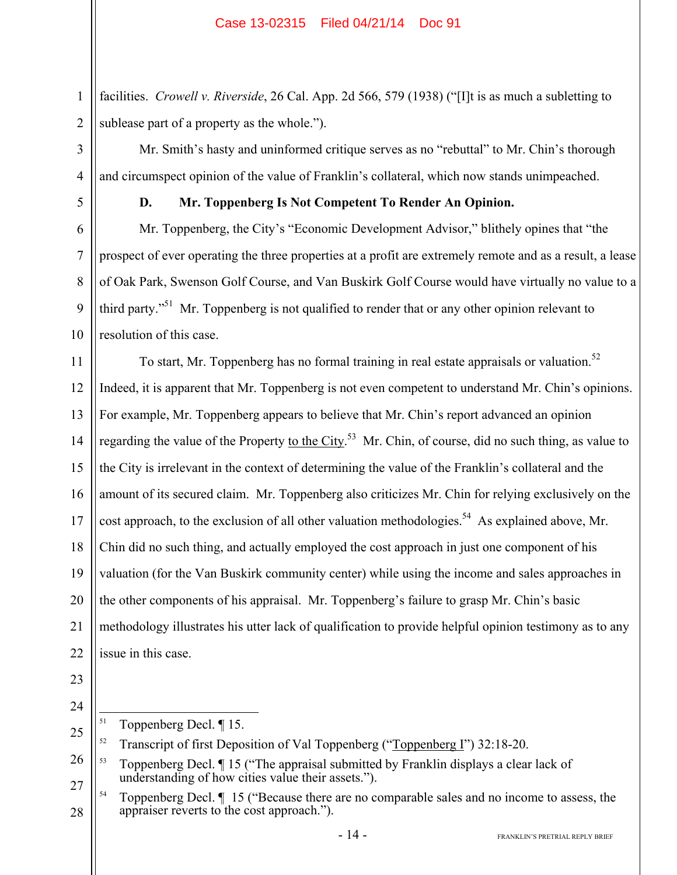2 facilities. *Crowell v. Riverside*, 26 Cal. App. 2d 566, 579 (1938) ("[I]t is as much a subletting to sublease part of a property as the whole.").

Mr. Smith's hasty and uninformed critique serves as no "rebuttal" to Mr. Chin's thorough and circumspect opinion of the value of Franklin's collateral, which now stands unimpeached.

1

3

4

5

6

7

8

9

10

# **D. Mr. Toppenberg Is Not Competent To Render An Opinion.**

Mr. Toppenberg, the City's "Economic Development Advisor," blithely opines that "the prospect of ever operating the three properties at a profit are extremely remote and as a result, a lease of Oak Park, Swenson Golf Course, and Van Buskirk Golf Course would have virtually no value to a third party."<sup>51</sup> Mr. Toppenberg is not qualified to render that or any other opinion relevant to resolution of this case.

11 12 13 14 15 16 17 18 19 20 21 22 To start, Mr. Toppenberg has no formal training in real estate appraisals or valuation.<sup>52</sup> Indeed, it is apparent that Mr. Toppenberg is not even competent to understand Mr. Chin's opinions. For example, Mr. Toppenberg appears to believe that Mr. Chin's report advanced an opinion regarding the value of the Property to the City.<sup>53</sup> Mr. Chin, of course, did no such thing, as value to the City is irrelevant in the context of determining the value of the Franklin's collateral and the amount of its secured claim. Mr. Toppenberg also criticizes Mr. Chin for relying exclusively on the cost approach, to the exclusion of all other valuation methodologies.<sup>54</sup> As explained above, Mr. Chin did no such thing, and actually employed the cost approach in just one component of his valuation (for the Van Buskirk community center) while using the income and sales approaches in the other components of his appraisal. Mr. Toppenberg's failure to grasp Mr. Chin's basic methodology illustrates his utter lack of qualification to provide helpful opinion testimony as to any issue in this case.

- 23
- 24

<sup>51</sup> Toppenberg Decl. ¶ 15.

<sup>25</sup> <sup>52</sup> Transcript of first Deposition of Val Toppenberg ("Toppenberg I") 32:18-20.

<sup>26</sup> 27 53 Toppenberg Decl. ¶ 15 ("The appraisal submitted by Franklin displays a clear lack of understanding of how cities value their assets.").

<sup>28</sup>  $54$  Toppenberg Decl.  $\P$  15 ("Because there are no comparable sales and no income to assess, the appraiser reverts to the cost approach.").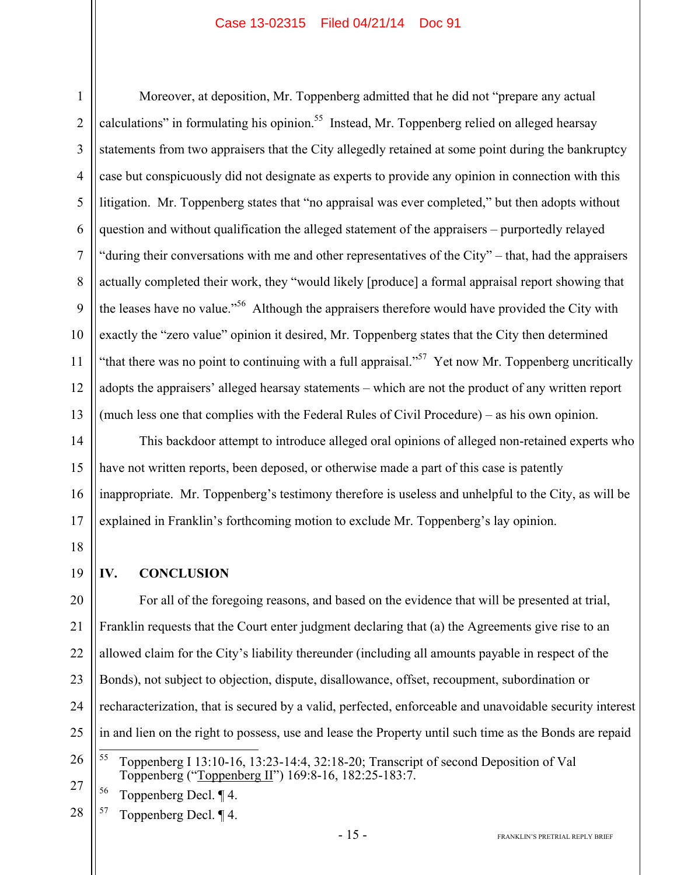1 2 3 4 5 6 7 8 9 10 11 12 13 Moreover, at deposition, Mr. Toppenberg admitted that he did not "prepare any actual calculations" in formulating his opinion.<sup>55</sup> Instead, Mr. Toppenberg relied on alleged hearsay statements from two appraisers that the City allegedly retained at some point during the bankruptcy case but conspicuously did not designate as experts to provide any opinion in connection with this litigation. Mr. Toppenberg states that "no appraisal was ever completed," but then adopts without question and without qualification the alleged statement of the appraisers – purportedly relayed "during their conversations with me and other representatives of the City" – that, had the appraisers actually completed their work, they "would likely [produce] a formal appraisal report showing that the leases have no value."<sup>56</sup> Although the appraisers therefore would have provided the City with exactly the "zero value" opinion it desired, Mr. Toppenberg states that the City then determined "that there was no point to continuing with a full appraisal."<sup>57</sup> Yet now Mr. Toppenberg uncritically adopts the appraisers' alleged hearsay statements – which are not the product of any written report (much less one that complies with the Federal Rules of Civil Procedure) – as his own opinion.

14 15 16 17 This backdoor attempt to introduce alleged oral opinions of alleged non-retained experts who have not written reports, been deposed, or otherwise made a part of this case is patently inappropriate. Mr. Toppenberg's testimony therefore is useless and unhelpful to the City, as will be explained in Franklin's forthcoming motion to exclude Mr. Toppenberg's lay opinion.

18

19

# **IV. CONCLUSION**

20 21 22 23 24 25 For all of the foregoing reasons, and based on the evidence that will be presented at trial, Franklin requests that the Court enter judgment declaring that (a) the Agreements give rise to an allowed claim for the City's liability thereunder (including all amounts payable in respect of the Bonds), not subject to objection, dispute, disallowance, offset, recoupment, subordination or recharacterization, that is secured by a valid, perfected, enforceable and unavoidable security interest in and lien on the right to possess, use and lease the Property until such time as the Bonds are repaid 55

27

28  $57$  Toppenberg Decl.  $\P$ 4.

<sup>26</sup>

<sup>55</sup> Toppenberg I 13:10-16, 13:23-14:4, 32:18-20; Transcript of second Deposition of Val Toppenberg ("Toppenberg II") 169:8-16, 182:25-183:7.

<sup>56</sup> Toppenberg Decl. ¶ 4.